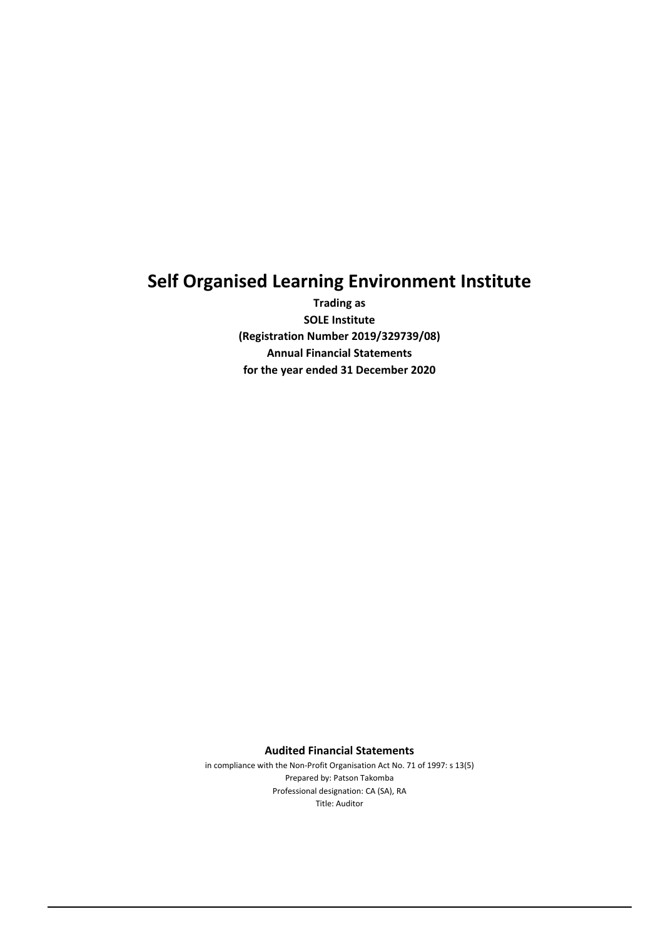**Trading as SOLE Institute (Registration Number 2019/329739/08) Annual Financial Statements for the year ended 31 December 2020**

**Audited Financial Statements**

in compliance with the Non-Profit Organisation Act No. 71 of 1997: s 13(5) Prepared by: Patson Takomba Professional designation: CA (SA), RA Title: Auditor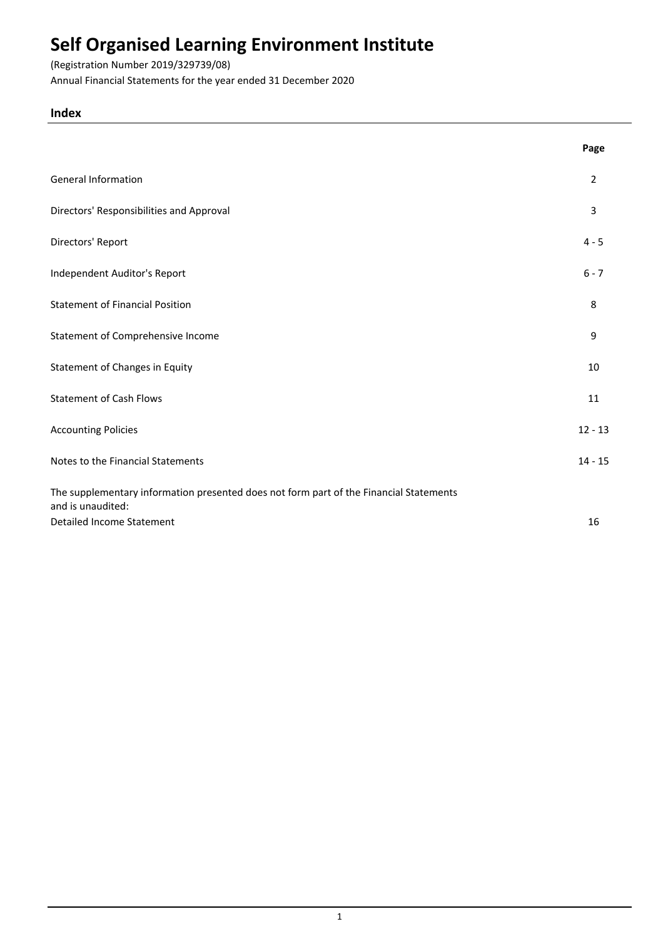# (Registration Number 2019/329739/08)

Annual Financial Statements for the year ended 31 December 2020

# **Index**

|                                                                                                             | Page           |
|-------------------------------------------------------------------------------------------------------------|----------------|
| <b>General Information</b>                                                                                  | $\overline{2}$ |
| Directors' Responsibilities and Approval                                                                    | 3              |
| Directors' Report                                                                                           | $4 - 5$        |
| Independent Auditor's Report                                                                                | $6 - 7$        |
| <b>Statement of Financial Position</b>                                                                      | 8              |
| Statement of Comprehensive Income                                                                           | 9              |
| Statement of Changes in Equity                                                                              | 10             |
| <b>Statement of Cash Flows</b>                                                                              | 11             |
| <b>Accounting Policies</b>                                                                                  | $12 - 13$      |
| Notes to the Financial Statements                                                                           | $14 - 15$      |
| The supplementary information presented does not form part of the Financial Statements<br>and is unaudited: |                |
| <b>Detailed Income Statement</b>                                                                            | 16             |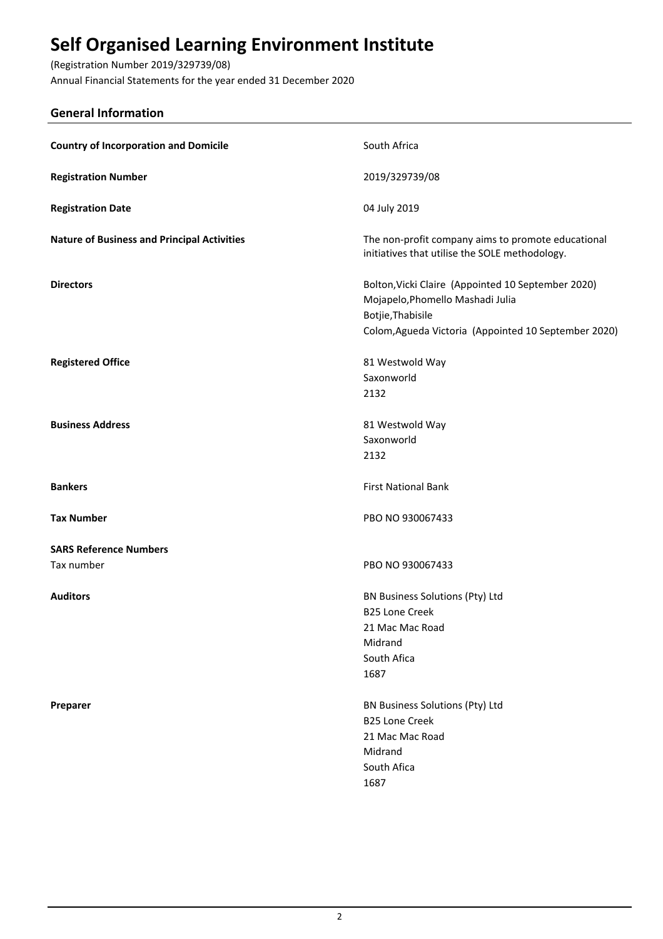(Registration Number 2019/329739/08)

Annual Financial Statements for the year ended 31 December 2020

| <b>General Information</b>                         |                                                                                                                                                                     |
|----------------------------------------------------|---------------------------------------------------------------------------------------------------------------------------------------------------------------------|
| <b>Country of Incorporation and Domicile</b>       | South Africa                                                                                                                                                        |
| <b>Registration Number</b>                         | 2019/329739/08                                                                                                                                                      |
| <b>Registration Date</b>                           | 04 July 2019                                                                                                                                                        |
| <b>Nature of Business and Principal Activities</b> | The non-profit company aims to promote educational<br>initiatives that utilise the SOLE methodology.                                                                |
| <b>Directors</b>                                   | Bolton, Vicki Claire (Appointed 10 September 2020)<br>Mojapelo, Phomello Mashadi Julia<br>Botjie, Thabisile<br>Colom, Agueda Victoria (Appointed 10 September 2020) |
| <b>Registered Office</b>                           | 81 Westwold Way<br>Saxonworld<br>2132                                                                                                                               |
| <b>Business Address</b>                            | 81 Westwold Way<br>Saxonworld<br>2132                                                                                                                               |
| <b>Bankers</b>                                     | <b>First National Bank</b>                                                                                                                                          |
| <b>Tax Number</b>                                  | PBO NO 930067433                                                                                                                                                    |
| <b>SARS Reference Numbers</b>                      |                                                                                                                                                                     |
| Tax number                                         | PBO NO 930067433                                                                                                                                                    |
| <b>Auditors</b>                                    | BN Business Solutions (Pty) Ltd<br><b>B25 Lone Creek</b><br>21 Mac Mac Road<br>Midrand<br>South Afica<br>1687                                                       |
| Preparer                                           | BN Business Solutions (Pty) Ltd<br><b>B25 Lone Creek</b><br>21 Mac Mac Road<br>Midrand<br>South Afica<br>1687                                                       |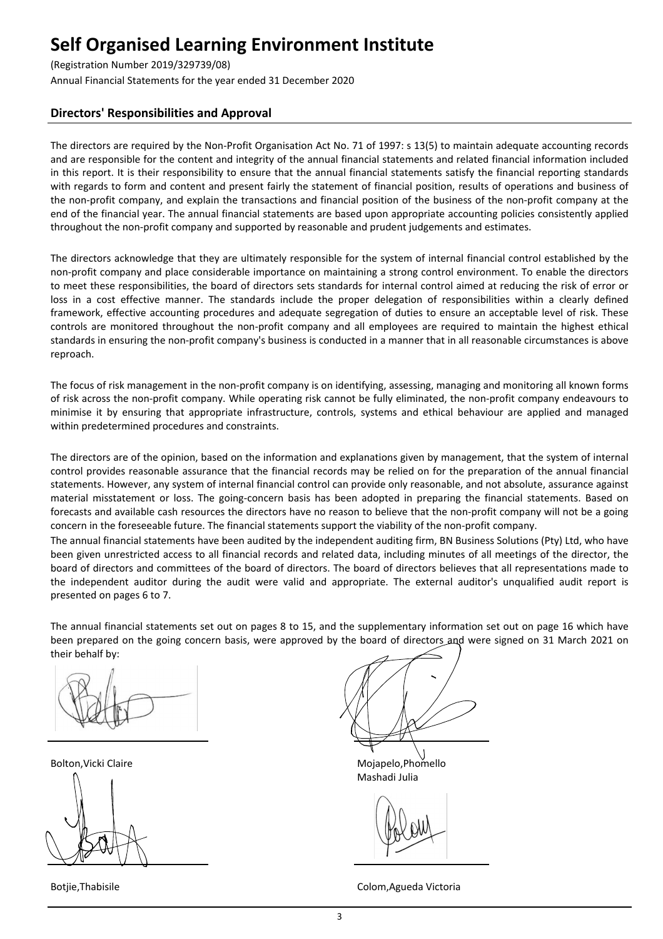### (Registration Number 2019/329739/08)

Annual Financial Statements for the year ended 31 December 2020

# **Directors' Responsibilities and Approval**

The directors are required by the Non-Profit Organisation Act No. 71 of 1997: s 13(5) to maintain adequate accounting records and are responsible for the content and integrity of the annual financial statements and related financial information included in this report. It is their responsibility to ensure that the annual financial statements satisfy the financial reporting standards with regards to form and content and present fairly the statement of financial position, results of operations and business of the non-profit company, and explain the transactions and financial position of the business of the non-profit company at the end of the financial year. The annual financial statements are based upon appropriate accounting policies consistently applied throughout the non-profit company and supported by reasonable and prudent judgements and estimates.

The directors acknowledge that they are ultimately responsible for the system of internal financial control established by the non-profit company and place considerable importance on maintaining a strong control environment. To enable the directors to meet these responsibilities, the board of directors sets standards for internal control aimed at reducing the risk of error or loss in a cost effective manner. The standards include the proper delegation of responsibilities within a clearly defined framework, effective accounting procedures and adequate segregation of duties to ensure an acceptable level of risk. These controls are monitored throughout the non-profit company and all employees are required to maintain the highest ethical standards in ensuring the non-profit company's business is conducted in a manner that in all reasonable circumstances is above reproach.

The focus of risk management in the non-profit company is on identifying, assessing, managing and monitoring all known forms of risk across the non-profit company. While operating risk cannot be fully eliminated, the non-profit company endeavours to minimise it by ensuring that appropriate infrastructure, controls, systems and ethical behaviour are applied and managed within predetermined procedures and constraints.

The directors are of the opinion, based on the information and explanations given by management, that the system of internal control provides reasonable assurance that the financial records may be relied on for the preparation of the annual financial statements. However, any system of internal financial control can provide only reasonable, and not absolute, assurance against material misstatement or loss. The going-concern basis has been adopted in preparing the financial statements. Based on forecasts and available cash resources the directors have no reason to believe that the non-profit company will not be a going concern in the foreseeable future. The financial statements support the viability of the non-profit company.

The annual financial statements have been audited by the independent auditing firm, BN Business Solutions (Pty) Ltd, who have been given unrestricted access to all financial records and related data, including minutes of all meetings of the director, the board of directors and committees of the board of directors. The board of directors believes that all representations made to the independent auditor during the audit were valid and appropriate. The external auditor's unqualified audit report is presented on pages 6 to 7.

The annual financial statements set out on pages 8 to 15, and the supplementary information set out on page 16 which have been prepared on the going concern basis, were approved by the board of directors and were signed on 31 March 2021 on their behalf by:

Bolton,Vicki Claire و Bolton,Vicki Claire Mojapelo,Phomello Mashadi Julia

Botjie,Thabisile Colom,Agueda Victoria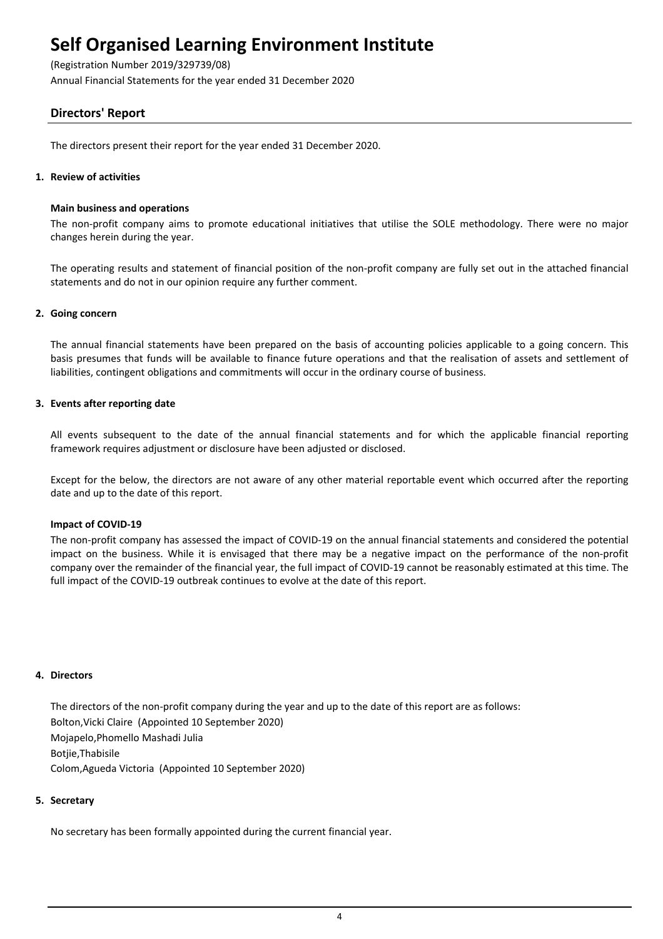(Registration Number 2019/329739/08)

Annual Financial Statements for the year ended 31 December 2020

# **Directors' Report**

The directors present their report for the year ended 31 December 2020.

#### **1. Review of activities**

#### **Main business and operations**

The non-profit company aims to promote educational initiatives that utilise the SOLE methodology. There were no major changes herein during the year.

The operating results and statement of financial position of the non-profit company are fully set out in the attached financial statements and do not in our opinion require any further comment.

### **2. Going concern**

The annual financial statements have been prepared on the basis of accounting policies applicable to a going concern. This basis presumes that funds will be available to finance future operations and that the realisation of assets and settlement of liabilities, contingent obligations and commitments will occur in the ordinary course of business.

#### **3. Events after reporting date**

All events subsequent to the date of the annual financial statements and for which the applicable financial reporting framework requires adjustment or disclosure have been adjusted or disclosed.

Except for the below, the directors are not aware of any other material reportable event which occurred after the reporting date and up to the date of this report.

### **Impact of COVID-19**

The non-profit company has assessed the impact of COVID-19 on the annual financial statements and considered the potential impact on the business. While it is envisaged that there may be a negative impact on the performance of the non-profit company over the remainder of the financial year, the full impact of COVID-19 cannot be reasonably estimated at this time. The full impact of the COVID-19 outbreak continues to evolve at the date of this report.

#### **4. Directors**

The directors of the non-profit company during the year and up to the date of this report are as follows: Bolton,Vicki Claire (Appointed 10 September 2020) Mojapelo,Phomello Mashadi Julia Botije.Thabisile Colom,Agueda Victoria (Appointed 10 September 2020)

#### **5. Secretary**

No secretary has been formally appointed during the current financial year.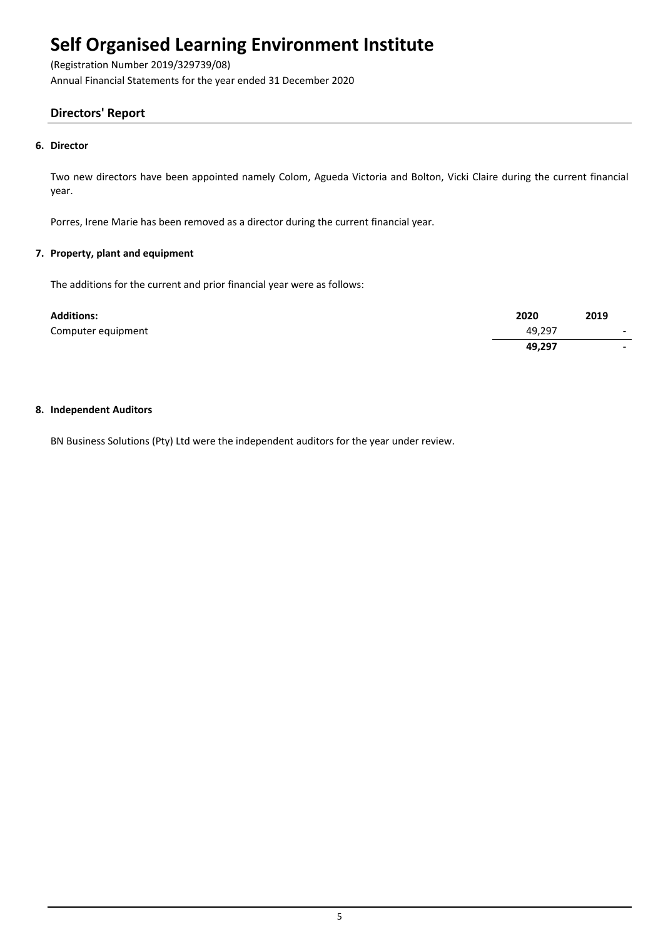(Registration Number 2019/329739/08)

Annual Financial Statements for the year ended 31 December 2020

# **Directors' Report**

### **6. Director**

Two new directors have been appointed namely Colom, Agueda Victoria and Bolton, Vicki Claire during the current financial year.

Porres, Irene Marie has been removed as a director during the current financial year.

### **7. Property, plant and equipment**

The additions for the current and prior financial year were as follows:

| <b>Additions:</b>  | 2020   | 2019                     |
|--------------------|--------|--------------------------|
| Computer equipment | 49.297 | $\overline{\phantom{0}}$ |
|                    | 49,297 | $\overline{\phantom{a}}$ |

### **8. Independent Auditors**

BN Business Solutions (Pty) Ltd were the independent auditors for the year under review.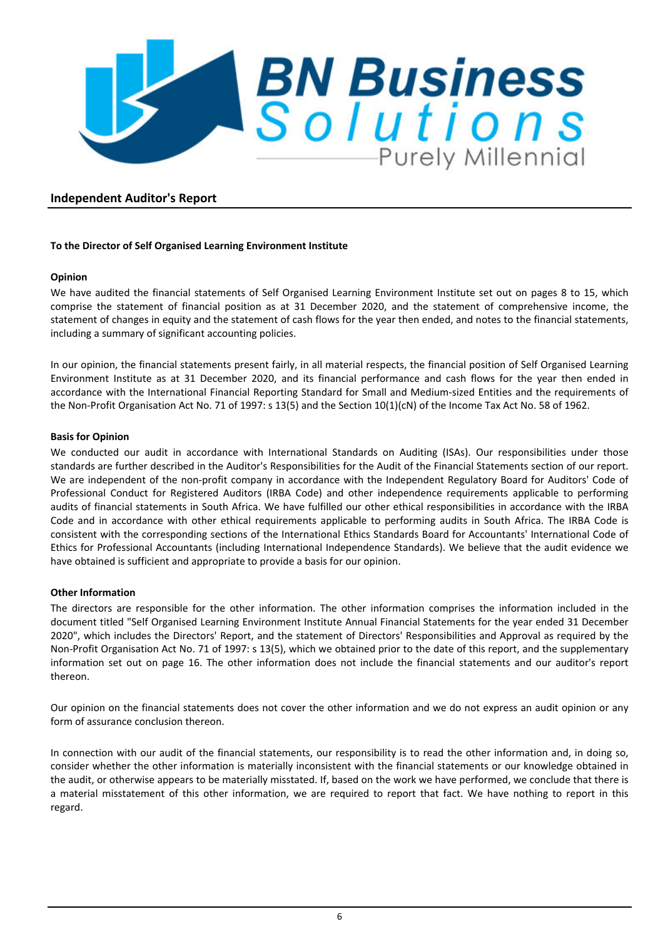

# **Independent Auditor's Report**

### **To the Director of Self Organised Learning Environment Institute**

### **Opinion**

We have audited the financial statements of Self Organised Learning Environment Institute set out on pages 8 to 15, which comprise the statement of financial position as at 31 December 2020, and the statement of comprehensive income, the statement of changes in equity and the statement of cash flows for the year then ended, and notes to the financial statements, including a summary of significant accounting policies.

In our opinion, the financial statements present fairly, in all material respects, the financial position of Self Organised Learning Environment Institute as at 31 December 2020, and its financial performance and cash flows for the year then ended in accordance with the International Financial Reporting Standard for Small and Medium-sized Entities and the requirements of the Non-Profit Organisation Act No. 71 of 1997: s 13(5) and the Section 10(1)(cN) of the Income Tax Act No. 58 of 1962.

### **Basis for Opinion**

We conducted our audit in accordance with International Standards on Auditing (ISAs). Our responsibilities under those standards are further described in the Auditor's Responsibilities for the Audit of the Financial Statements section of our report. We are independent of the non-profit company in accordance with the Independent Regulatory Board for Auditors' Code of Professional Conduct for Registered Auditors (IRBA Code) and other independence requirements applicable to performing audits of financial statements in South Africa. We have fulfilled our other ethical responsibilities in accordance with the IRBA Code and in accordance with other ethical requirements applicable to performing audits in South Africa. The IRBA Code is consistent with the corresponding sections of the International Ethics Standards Board for Accountants' International Code of Ethics for Professional Accountants (including International Independence Standards). We believe that the audit evidence we have obtained is sufficient and appropriate to provide a basis for our opinion.

### **Other Information**

The directors are responsible for the other information. The other information comprises the information included in the document titled "Self Organised Learning Environment Institute Annual Financial Statements for the year ended 31 December 2020", which includes the Directors' Report, and the statement of Directors' Responsibilities and Approval as required by the Non-Profit Organisation Act No. 71 of 1997: s 13(5), which we obtained prior to the date of this report, and the supplementary information set out on page 16. The other information does not include the financial statements and our auditor's report thereon.

Our opinion on the financial statements does not cover the other information and we do not express an audit opinion or any form of assurance conclusion thereon.

In connection with our audit of the financial statements, our responsibility is to read the other information and, in doing so, consider whether the other information is materially inconsistent with the financial statements or our knowledge obtained in the audit, or otherwise appears to be materially misstated. If, based on the work we have performed, we conclude that there is a material misstatement of this other information, we are required to report that fact. We have nothing to report in this regard.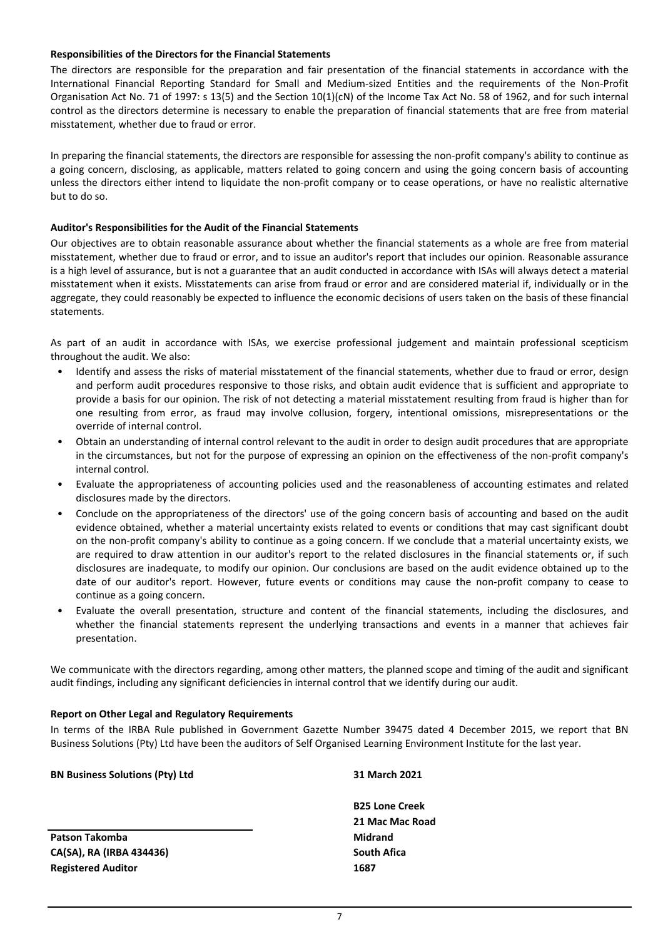### **Responsibilities of the Directors for the Financial Statements**

The directors are responsible for the preparation and fair presentation of the financial statements in accordance with the International Financial Reporting Standard for Small and Medium-sized Entities and the requirements of the Non-Profit Organisation Act No. 71 of 1997: s 13(5) and the Section 10(1)(cN) of the Income Tax Act No. 58 of 1962, and for such internal control as the directors determine is necessary to enable the preparation of financial statements that are free from material misstatement, whether due to fraud or error.

In preparing the financial statements, the directors are responsible for assessing the non-profit company's ability to continue as a going concern, disclosing, as applicable, matters related to going concern and using the going concern basis of accounting unless the directors either intend to liquidate the non-profit company or to cease operations, or have no realistic alternative but to do so.

### **Auditor's Responsibilities for the Audit of the Financial Statements**

Our objectives are to obtain reasonable assurance about whether the financial statements as a whole are free from material misstatement, whether due to fraud or error, and to issue an auditor's report that includes our opinion. Reasonable assurance is a high level of assurance, but is not a guarantee that an audit conducted in accordance with ISAs will always detect a material misstatement when it exists. Misstatements can arise from fraud or error and are considered material if, individually or in the aggregate, they could reasonably be expected to influence the economic decisions of users taken on the basis of these financial statements.

As part of an audit in accordance with ISAs, we exercise professional judgement and maintain professional scepticism throughout the audit. We also:

- Identify and assess the risks of material misstatement of the financial statements, whether due to fraud or error, design and perform audit procedures responsive to those risks, and obtain audit evidence that is sufficient and appropriate to provide a basis for our opinion. The risk of not detecting a material misstatement resulting from fraud is higher than for one resulting from error, as fraud may involve collusion, forgery, intentional omissions, misrepresentations or the override of internal control.
- Obtain an understanding of internal control relevant to the audit in order to design audit procedures that are appropriate in the circumstances, but not for the purpose of expressing an opinion on the effectiveness of the non-profit company's internal control.
- Evaluate the appropriateness of accounting policies used and the reasonableness of accounting estimates and related disclosures made by the directors.
- Conclude on the appropriateness of the directors' use of the going concern basis of accounting and based on the audit evidence obtained, whether a material uncertainty exists related to events or conditions that may cast significant doubt on the non-profit company's ability to continue as a going concern. If we conclude that a material uncertainty exists, we are required to draw attention in our auditor's report to the related disclosures in the financial statements or, if such disclosures are inadequate, to modify our opinion. Our conclusions are based on the audit evidence obtained up to the date of our auditor's report. However, future events or conditions may cause the non-profit company to cease to continue as a going concern.
- Evaluate the overall presentation, structure and content of the financial statements, including the disclosures, and whether the financial statements represent the underlying transactions and events in a manner that achieves fair presentation.

We communicate with the directors regarding, among other matters, the planned scope and timing of the audit and significant audit findings, including any significant deficiencies in internal control that we identify during our audit.

### **Report on Other Legal and Regulatory Requirements**

In terms of the IRBA Rule published in Government Gazette Number 39475 dated 4 December 2015, we report that BN Business Solutions (Pty) Ltd have been the auditors of Self Organised Learning Environment Institute for the last year.

**BN Business Solutions (Pty) Ltd 31 March 2021**

**Patson Takomba Midrand CA(SA), RA (IRBA 434436) South Afica Registered Auditor 1687**

**B25 Lone Creek 21 Mac Mac Road**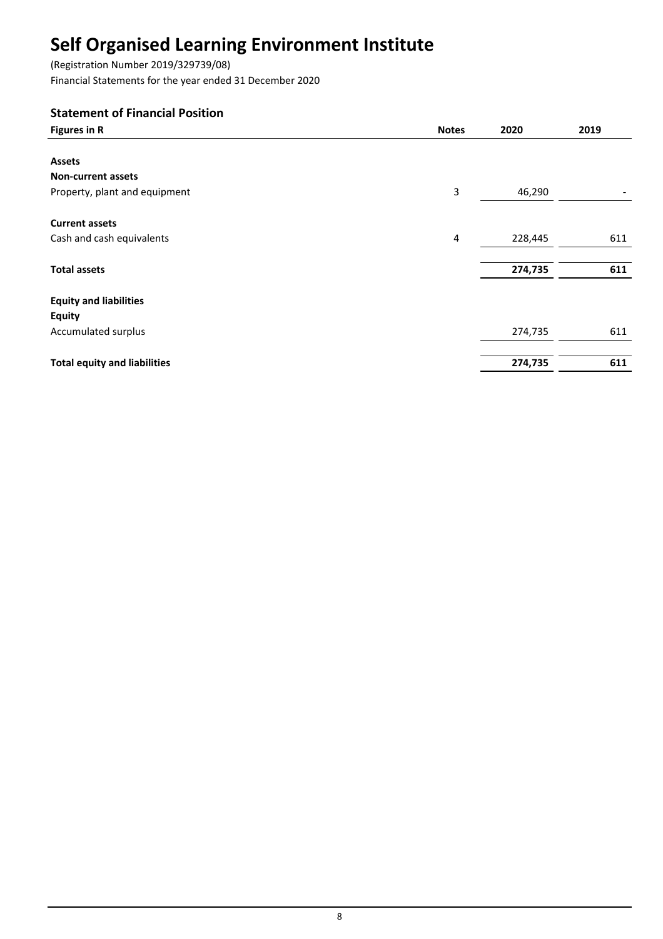(Registration Number 2019/329739/08) Financial Statements for the year ended 31 December 2020

# **Statement of Financial Position**

| <b>Figures in R</b>                 | <b>Notes</b> | 2020    | 2019 |
|-------------------------------------|--------------|---------|------|
|                                     |              |         |      |
| <b>Assets</b>                       |              |         |      |
| <b>Non-current assets</b>           |              |         |      |
| Property, plant and equipment       | 3            | 46,290  |      |
|                                     |              |         |      |
| <b>Current assets</b>               |              |         |      |
| Cash and cash equivalents           | 4            | 228,445 | 611  |
|                                     |              |         |      |
| <b>Total assets</b>                 |              | 274,735 | 611  |
| <b>Equity and liabilities</b>       |              |         |      |
| <b>Equity</b>                       |              |         |      |
| Accumulated surplus                 |              | 274,735 | 611  |
| <b>Total equity and liabilities</b> |              | 274,735 | 611  |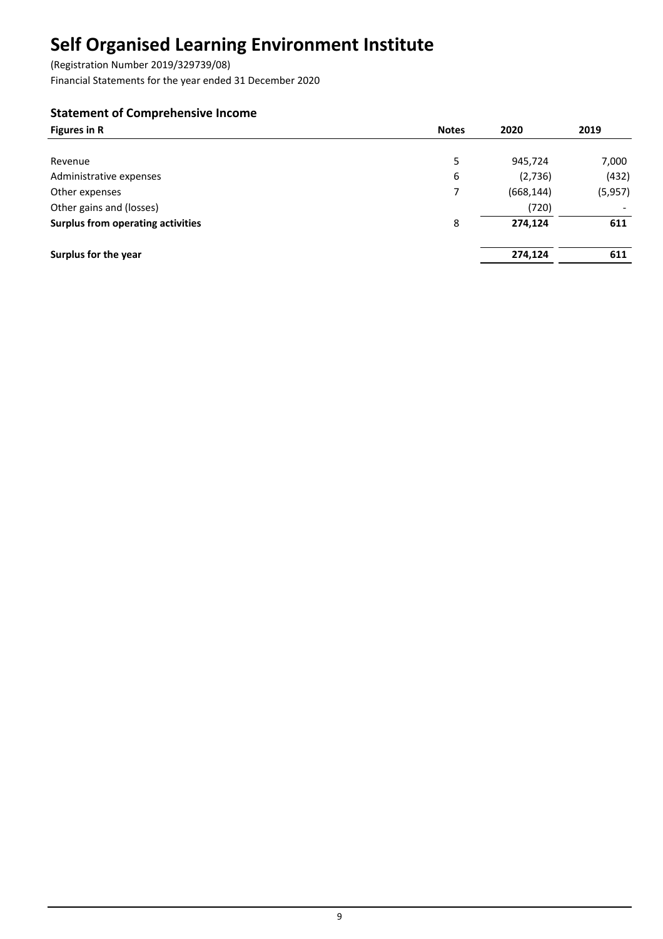(Registration Number 2019/329739/08) Financial Statements for the year ended 31 December 2020

# **Statement of Comprehensive Income**

| <b>Figures in R</b>               | <b>Notes</b> | 2020       | 2019    |
|-----------------------------------|--------------|------------|---------|
|                                   |              |            |         |
| Revenue                           | 5            | 945,724    | 7,000   |
| Administrative expenses           | 6            | (2,736)    | (432)   |
| Other expenses                    | 7            | (668, 144) | (5,957) |
| Other gains and (losses)          |              | (720)      |         |
| Surplus from operating activities | 8            | 274,124    | 611     |
| Surplus for the year              |              | 274,124    | 611     |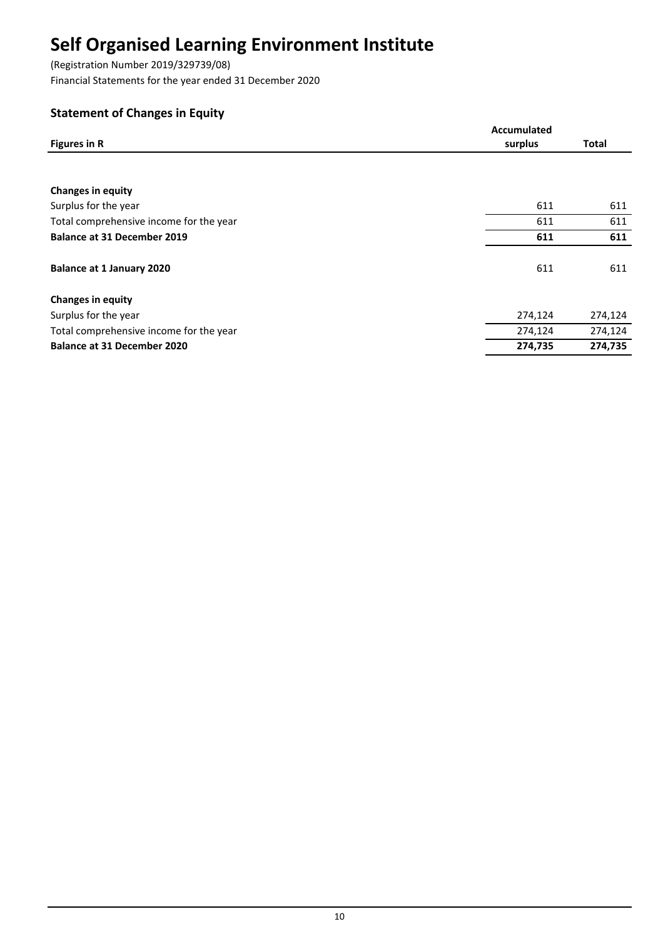(Registration Number 2019/329739/08) Financial Statements for the year ended 31 December 2020

# **Statement of Changes in Equity**

|                                         | <b>Accumulated</b> |         |
|-----------------------------------------|--------------------|---------|
| <b>Figures in R</b>                     | surplus            | Total   |
|                                         |                    |         |
| <b>Changes in equity</b>                |                    |         |
| Surplus for the year                    | 611                | 611     |
| Total comprehensive income for the year | 611                | 611     |
| <b>Balance at 31 December 2019</b>      | 611                | 611     |
| <b>Balance at 1 January 2020</b>        | 611                | 611     |
| <b>Changes in equity</b>                |                    |         |
| Surplus for the year                    | 274,124            | 274,124 |
| Total comprehensive income for the year | 274,124            | 274,124 |
| <b>Balance at 31 December 2020</b>      | 274,735            | 274,735 |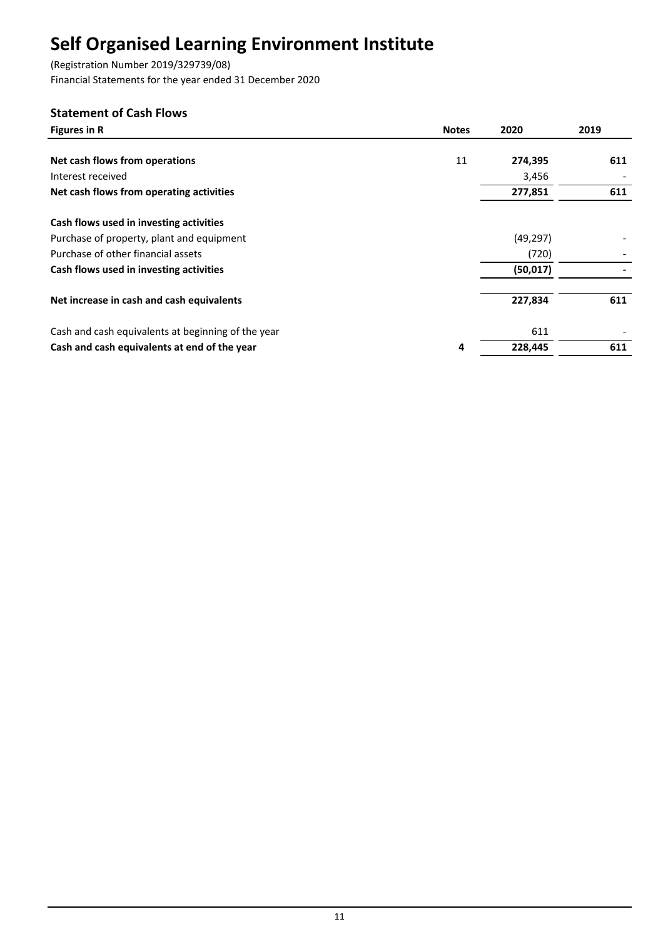(Registration Number 2019/329739/08) Financial Statements for the year ended 31 December 2020

# **Statement of Cash Flows**

| <b>Figures in R</b>                                | <b>Notes</b> | 2020      | 2019 |
|----------------------------------------------------|--------------|-----------|------|
|                                                    |              |           |      |
| Net cash flows from operations                     | 11           | 274,395   | 611  |
| Interest received                                  |              | 3,456     |      |
| Net cash flows from operating activities           |              | 277,851   | 611  |
| Cash flows used in investing activities            |              |           |      |
| Purchase of property, plant and equipment          |              | (49, 297) |      |
| Purchase of other financial assets                 |              | (720)     |      |
| Cash flows used in investing activities            |              | (50, 017) |      |
| Net increase in cash and cash equivalents          |              | 227,834   | 611  |
| Cash and cash equivalents at beginning of the year |              | 611       |      |
| Cash and cash equivalents at end of the year       | 4            | 228,445   | 611  |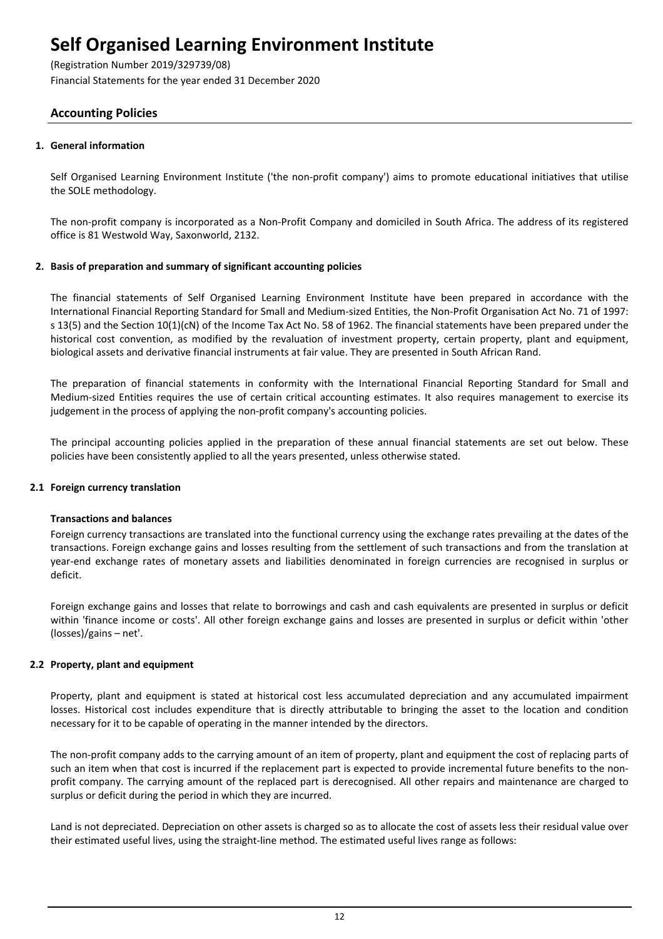(Registration Number 2019/329739/08)

Financial Statements for the year ended 31 December 2020

# **Accounting Policies**

## **1. General information**

Self Organised Learning Environment Institute ('the non-profit company') aims to promote educational initiatives that utilise the SOLE methodology.

The non-profit company is incorporated as a Non-Profit Company and domiciled in South Africa. The address of its registered office is 81 Westwold Way, Saxonworld, 2132.

### **2. Basis of preparation and summary of significant accounting policies**

The financial statements of Self Organised Learning Environment Institute have been prepared in accordance with the International Financial Reporting Standard for Small and Medium-sized Entities, the Non-Profit Organisation Act No. 71 of 1997: s 13(5) and the Section 10(1)(cN) of the Income Tax Act No. 58 of 1962. The financial statements have been prepared under the historical cost convention, as modified by the revaluation of investment property, certain property, plant and equipment, biological assets and derivative financial instruments at fair value. They are presented in South African Rand.

The preparation of financial statements in conformity with the International Financial Reporting Standard for Small and Medium-sized Entities requires the use of certain critical accounting estimates. It also requires management to exercise its judgement in the process of applying the non-profit company's accounting policies.

The principal accounting policies applied in the preparation of these annual financial statements are set out below. These policies have been consistently applied to all the years presented, unless otherwise stated.

## **2.1 Foreign currency translation**

### **Transactions and balances**

Foreign currency transactions are translated into the functional currency using the exchange rates prevailing at the dates of the transactions. Foreign exchange gains and losses resulting from the settlement of such transactions and from the translation at year-end exchange rates of monetary assets and liabilities denominated in foreign currencies are recognised in surplus or deficit.

Foreign exchange gains and losses that relate to borrowings and cash and cash equivalents are presented in surplus or deficit within 'finance income or costs'. All other foreign exchange gains and losses are presented in surplus or deficit within 'other (losses)/gains – net'.

## **2.2 Property, plant and equipment**

Property, plant and equipment is stated at historical cost less accumulated depreciation and any accumulated impairment losses. Historical cost includes expenditure that is directly attributable to bringing the asset to the location and condition necessary for it to be capable of operating in the manner intended by the directors.

The non-profit company adds to the carrying amount of an item of property, plant and equipment the cost of replacing parts of such an item when that cost is incurred if the replacement part is expected to provide incremental future benefits to the nonprofit company. The carrying amount of the replaced part is derecognised. All other repairs and maintenance are charged to surplus or deficit during the period in which they are incurred.

Land is not depreciated. Depreciation on other assets is charged so as to allocate the cost of assets less their residual value over their estimated useful lives, using the straight-line method. The estimated useful lives range as follows: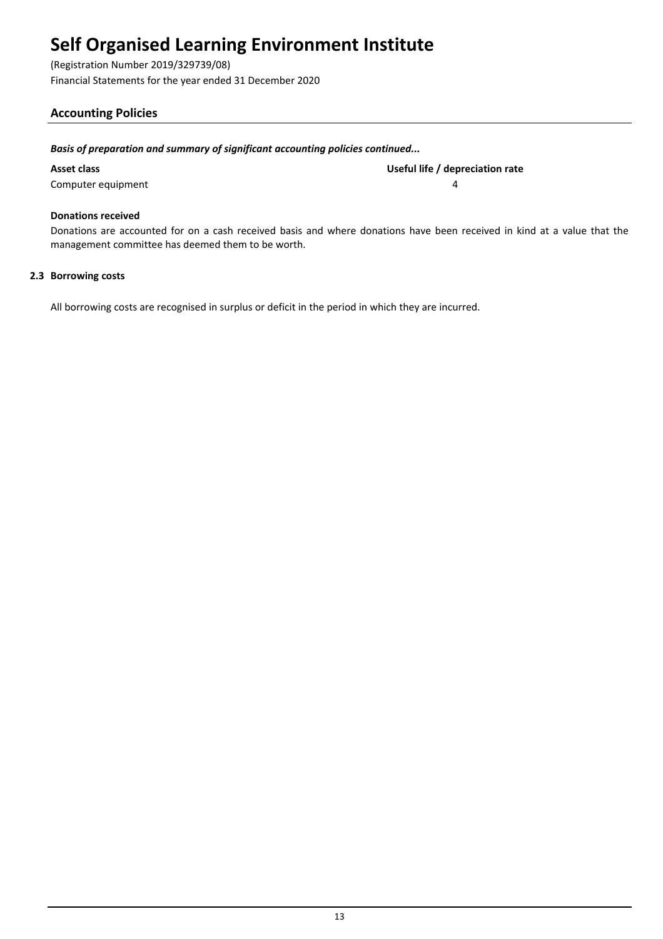(Registration Number 2019/329739/08)

Financial Statements for the year ended 31 December 2020

# **Accounting Policies**

### *Basis of preparation and summary of significant accounting policies continued...*

**Computer equipment 4** 

**Asset class Useful life / depreciation rate**

### **Donations received**

Donations are accounted for on a cash received basis and where donations have been received in kind at a value that the management committee has deemed them to be worth.

### **2.3 Borrowing costs**

All borrowing costs are recognised in surplus or deficit in the period in which they are incurred.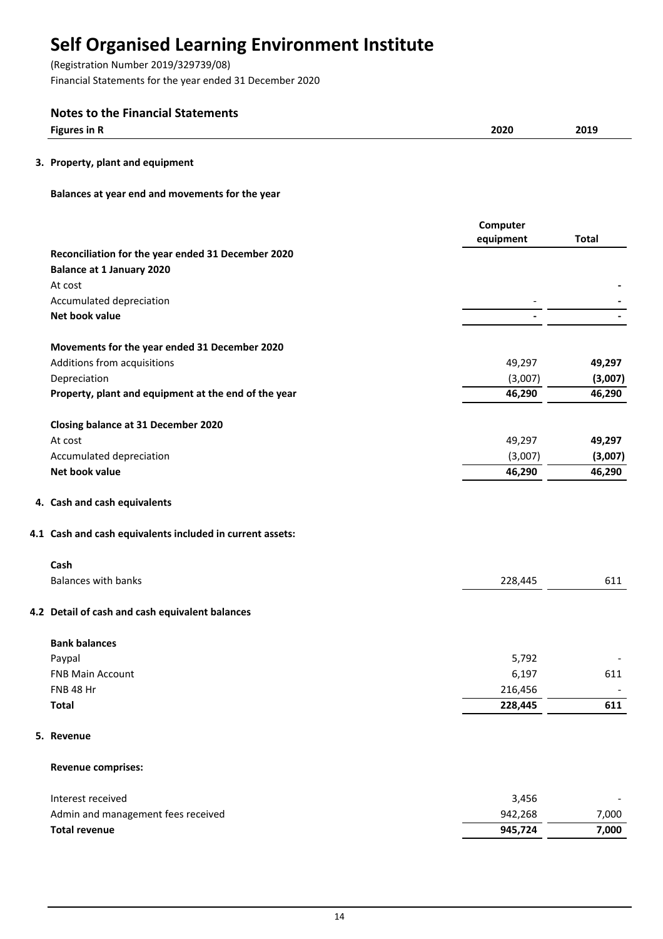(Registration Number 2019/329739/08) Financial Statements for the year ended 31 December 2020

| <b>Notes to the Financial Statements</b> |
|------------------------------------------|
|                                          |

| $-$       | $\frac{1}{2}$ |     |
|-----------|---------------|-----|
| - - -     | 7 L J Z L     | .   |
| -- --- -- | ___           | ___ |
|           |               |     |

## **3. Property, plant and equipment**

**Balances at year end and movements for the year**

|                                                           | Computer<br>equipment | <b>Total</b> |
|-----------------------------------------------------------|-----------------------|--------------|
| Reconciliation for the year ended 31 December 2020        |                       |              |
| <b>Balance at 1 January 2020</b>                          |                       |              |
| At cost                                                   |                       |              |
| Accumulated depreciation                                  |                       |              |
| Net book value                                            |                       |              |
| Movements for the year ended 31 December 2020             |                       |              |
| Additions from acquisitions                               | 49,297                | 49,297       |
| Depreciation                                              | (3,007)               | (3,007)      |
| Property, plant and equipment at the end of the year      | 46,290                | 46,290       |
| Closing balance at 31 December 2020                       |                       |              |
| At cost                                                   | 49,297                | 49,297       |
| Accumulated depreciation                                  | (3,007)               | (3,007)      |
| Net book value                                            | 46,290                | 46,290       |
| 4. Cash and cash equivalents                              |                       |              |
| 4.1 Cash and cash equivalents included in current assets: |                       |              |
| Cash                                                      |                       |              |
| <b>Balances with banks</b>                                | 228,445               | 611          |
| 4.2 Detail of cash and cash equivalent balances           |                       |              |
| <b>Bank balances</b>                                      |                       |              |
| Paypal                                                    | 5,792                 |              |
| <b>FNB Main Account</b>                                   | 6,197                 | 611          |
| FNB 48 Hr                                                 | 216,456               |              |
| <b>Total</b>                                              | 228,445               | 611          |
| 5. Revenue                                                |                       |              |
| <b>Revenue comprises:</b>                                 |                       |              |
| Interest received                                         | 3,456                 |              |
| Admin and management fees received                        | 942,268               | 7,000        |
| <b>Total revenue</b>                                      | 945,724               | 7,000        |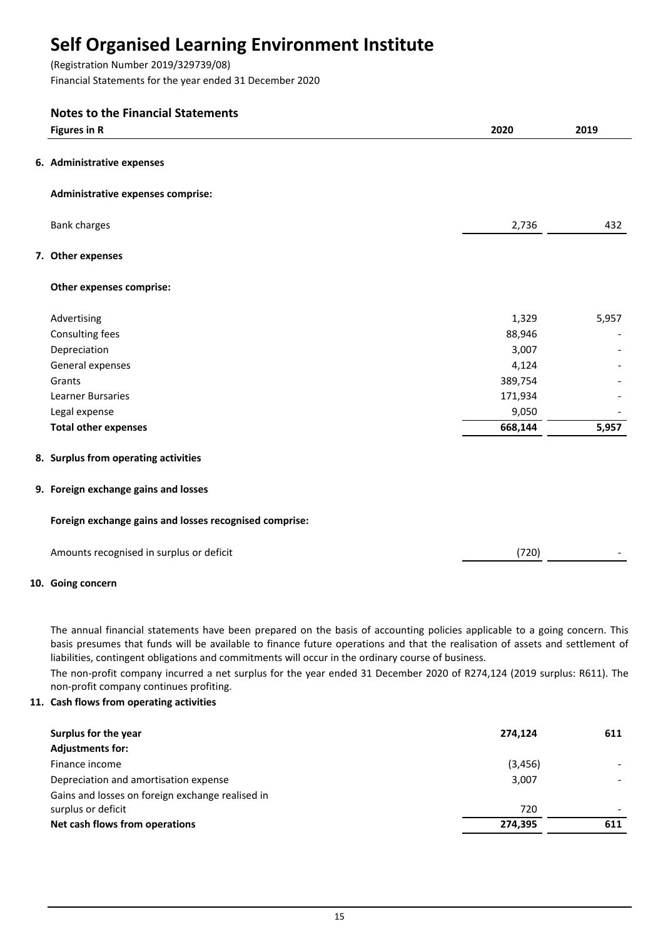(Registration Number 2019/329739/08) Financial Statements for the year ended 31 December 2020

# **Notes to the Financial Statements**

| <b>Figures in R</b>                                    | 2020    | 2019  |
|--------------------------------------------------------|---------|-------|
| 6. Administrative expenses                             |         |       |
| <b>Administrative expenses comprise:</b>               |         |       |
| <b>Bank charges</b>                                    | 2,736   | 432   |
| 7. Other expenses                                      |         |       |
| Other expenses comprise:                               |         |       |
| Advertising                                            | 1,329   | 5,957 |
| Consulting fees                                        | 88,946  |       |
| Depreciation                                           | 3,007   |       |
| General expenses                                       | 4,124   |       |
| Grants                                                 | 389,754 |       |
| Learner Bursaries                                      | 171,934 |       |
| Legal expense                                          | 9,050   |       |
| <b>Total other expenses</b>                            | 668,144 | 5,957 |
| 8. Surplus from operating activities                   |         |       |
| 9. Foreign exchange gains and losses                   |         |       |
| Foreign exchange gains and losses recognised comprise: |         |       |
| Amounts recognised in surplus or deficit               | (720)   |       |

### **10. Going concern**

The annual financial statements have been prepared on the basis of accounting policies applicable to a going concern. This basis presumes that funds will be available to finance future operations and that the realisation of assets and settlement of liabilities, contingent obligations and commitments will occur in the ordinary course of business.

The non-profit company incurred a net surplus for the year ended 31 December 2020 of R274,124 (2019 surplus: R611). The non-profit company continues profiting.

# **11. Cash flows from operating activities**

| Surplus for the year<br><b>Adjustments for:</b>  | 274,124  | 611 |
|--------------------------------------------------|----------|-----|
| Finance income                                   | (3, 456) |     |
| Depreciation and amortisation expense            | 3.007    |     |
| Gains and losses on foreign exchange realised in |          |     |
| surplus or deficit                               | 720      |     |
| Net cash flows from operations                   | 274,395  | 611 |